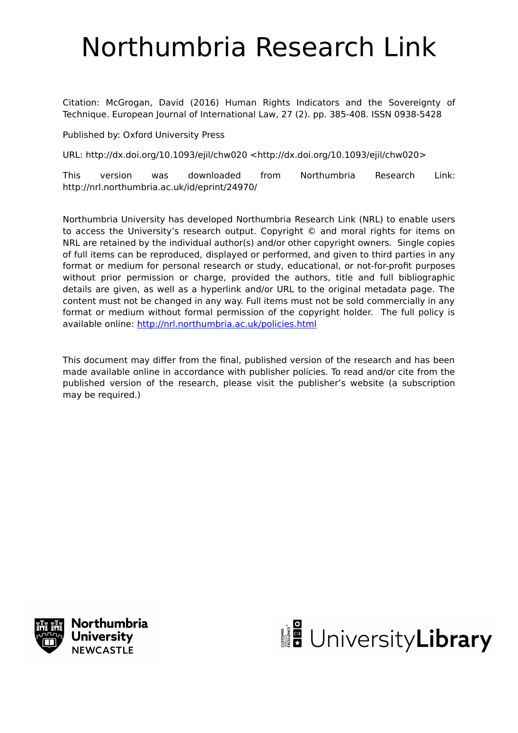# Northumbria Research Link

Citation: McGrogan, David (2016) Human Rights Indicators and the Sovereignty of Technique. European Journal of International Law, 27 (2). pp. 385-408. ISSN 0938-5428

Published by: Oxford University Press

URL: http://dx.doi.org/10.1093/ejil/chw020 <http://dx.doi.org/10.1093/ejil/chw020>

This version was downloaded from Northumbria Research Link: http://nrl.northumbria.ac.uk/id/eprint/24970/

Northumbria University has developed Northumbria Research Link (NRL) to enable users to access the University's research output. Copyright © and moral rights for items on NRL are retained by the individual author(s) and/or other copyright owners. Single copies of full items can be reproduced, displayed or performed, and given to third parties in any format or medium for personal research or study, educational, or not-for-profit purposes without prior permission or charge, provided the authors, title and full bibliographic details are given, as well as a hyperlink and/or URL to the original metadata page. The content must not be changed in any way. Full items must not be sold commercially in any format or medium without formal permission of the copyright holder. The full policy is available online:<http://nrl.northumbria.ac.uk/policies.html>

This document may differ from the final, published version of the research and has been made available online in accordance with publisher policies. To read and/or cite from the published version of the research, please visit the publisher's website (a subscription may be required.)



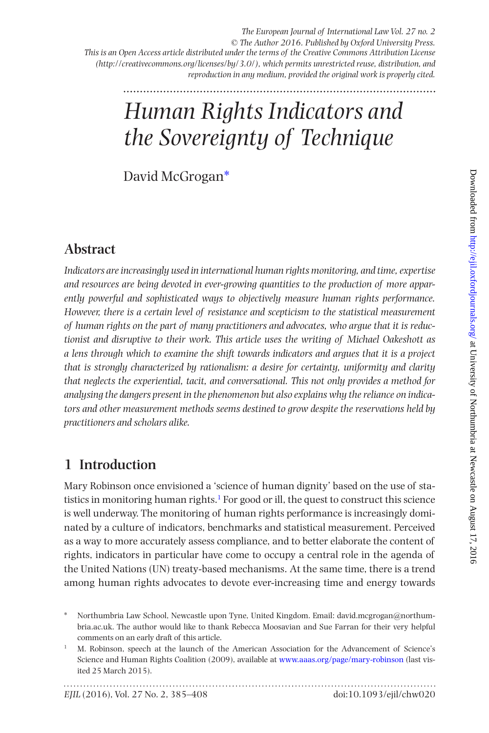*The European Journal of International Law Vol. 27 no. 2 © The Author 2016. Published by Oxford University Press. This is an Open Access article distributed under the terms of the Creative Commons Attribution License (http://creativecommons.org/licenses/by/3.0/), which permits unrestricted reuse, distribution, and reproduction in any medium, provided the original work is properly cited.*

# *Human Rights Indicators and the Sovereignty of Technique*

David McGrogan[\\*](#page-1-0)

## **Abstract**

*Indicators are increasingly used in international human rights monitoring, and time, expertise and resources are being devoted in ever-growing quantities to the production of more apparently powerful and sophisticated ways to objectively measure human rights performance. However, there is a certain level of resistance and scepticism to the statistical measurement of human rights on the part of many practitioners and advocates, who argue that it is reductionist and disruptive to their work. This article uses the writing of Michael Oakeshott as a lens through which to examine the shift towards indicators and argues that it is a project that is strongly characterized by rationalism: a desire for certainty, uniformity and clarity that neglects the experiential, tacit, and conversational. This not only provides a method for analysing the dangers present in the phenomenon but also explains why the reliance on indicators and other measurement methods seems destined to grow despite the reservations held by practitioners and scholars alike.*

# **1 Introduction**

Mary Robinson once envisioned a 'science of human dignity' based on the use of statistics in monitoring human rights. $<sup>1</sup>$  $<sup>1</sup>$  $<sup>1</sup>$  For good or ill, the quest to construct this science</sup> is well underway. The monitoring of human rights performance is increasingly dominated by a culture of indicators, benchmarks and statistical measurement. Perceived as a way to more accurately assess compliance, and to better elaborate the content of rights, indicators in particular have come to occupy a central role in the agenda of the United Nations (UN) treaty-based mechanisms. At the same time, there is a trend among human rights advocates to devote ever-increasing time and energy towards

<span id="page-1-0"></span>Northumbria Law School, Newcastle upon Tyne, United Kingdom. Email: david.mcgrogan@northumbria.ac.uk. The author would like to thank Rebecca Moosavian and Sue Farran for their very helpful comments on an early draft of this article.

<span id="page-1-1"></span><sup>1</sup> M. Robinson, speech at the launch of the American Association for the Advancement of Science's Science and Human Rights Coalition (2009), available at [www.aaas.org/page/mary-robinson](http://www.aaas.org/page/mary-robinson) (last visited 25 March 2015).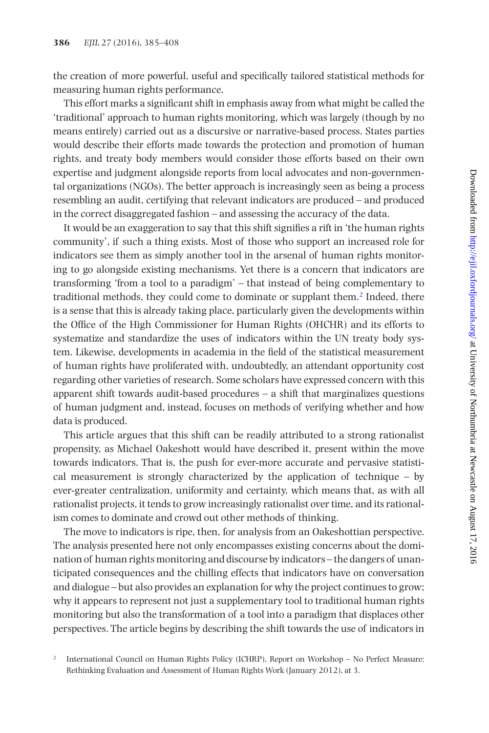the creation of more powerful, useful and specifically tailored statistical methods for measuring human rights performance.

This effort marks a significant shift in emphasis away from what might be called the 'traditional' approach to human rights monitoring, which was largely (though by no means entirely) carried out as a discursive or narrative-based process. States parties would describe their efforts made towards the protection and promotion of human rights, and treaty body members would consider those efforts based on their own expertise and judgment alongside reports from local advocates and non-governmental organizations (NGOs). The better approach is increasingly seen as being a process resembling an audit, certifying that relevant indicators are produced – and produced in the correct disaggregated fashion – and assessing the accuracy of the data.

It would be an exaggeration to say that this shift signifies a rift in 'the human rights community', if such a thing exists. Most of those who support an increased role for indicators see them as simply another tool in the arsenal of human rights monitoring to go alongside existing mechanisms. Yet there is a concern that indicators are transforming 'from a tool to a paradigm' – that instead of being complementary to traditional methods, they could come to dominate or supplant them[.2](#page-2-0) Indeed, there is a sense that this is already taking place, particularly given the developments within the Office of the High Commissioner for Human Rights (OHCHR) and its efforts to systematize and standardize the uses of indicators within the UN treaty body system. Likewise, developments in academia in the field of the statistical measurement of human rights have proliferated with, undoubtedly, an attendant opportunity cost regarding other varieties of research. Some scholars have expressed concern with this apparent shift towards audit-based procedures – a shift that marginalizes questions of human judgment and, instead, focuses on methods of verifying whether and how data is produced.

This article argues that this shift can be readily attributed to a strong rationalist propensity, as Michael Oakeshott would have described it, present within the move towards indicators. That is, the push for ever-more accurate and pervasive statistical measurement is strongly characterized by the application of technique – by ever-greater centralization, uniformity and certainty, which means that, as with all rationalist projects, it tends to grow increasingly rationalist over time, and its rationalism comes to dominate and crowd out other methods of thinking.

The move to indicators is ripe, then, for analysis from an Oakeshottian perspective. The analysis presented here not only encompasses existing concerns about the domination of human rights monitoring and discourse by indicators – the dangers of unanticipated consequences and the chilling effects that indicators have on conversation and dialogue – but also provides an explanation for why the project continues to grow; why it appears to represent not just a supplementary tool to traditional human rights monitoring but also the transformation of a tool into a paradigm that displaces other perspectives. The article begins by describing the shift towards the use of indicators in

<span id="page-2-0"></span><sup>2</sup> International Council on Human Rights Policy (ICHRP), Report on Workshop – No Perfect Measure: Rethinking Evaluation and Assessment of Human Rights Work (January 2012), at 3.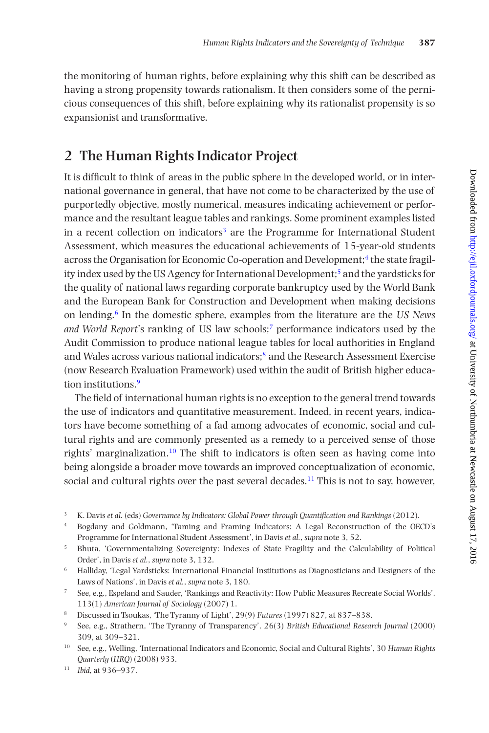the monitoring of human rights, before explaining why this shift can be described as having a strong propensity towards rationalism. It then considers some of the pernicious consequences of this shift, before explaining why its rationalist propensity is so expansionist and transformative.

# **2 The Human Rights Indicator Project**

It is difficult to think of areas in the public sphere in the developed world, or in international governance in general, that have not come to be characterized by the use of purportedly objective, mostly numerical, measures indicating achievement or performance and the resultant league tables and rankings. Some prominent examples listed in a recent collection on indicators<sup>3</sup> are the Programme for International Student Assessment, which measures the educational achievements of 15-year-old students across the Organisation for Economic Co-operation and Development;<sup>4</sup> the state fragility index used by the US Agency for International Development[;5](#page-3-2) and the yardsticks for the quality of national laws regarding corporate bankruptcy used by the World Bank and the European Bank for Construction and Development when making decisions on lending.[6](#page-3-3) In the domestic sphere, examples from the literature are the *US News and World Report*'s ranking of US law schools;[7](#page-3-4) performance indicators used by the Audit Commission to produce national league tables for local authorities in England and Wales across various national indicators;<sup>8</sup> and the Research Assessment Exercise (now Research Evaluation Framework) used within the audit of British higher education institutions.[9](#page-3-6)

The field of international human rights is no exception to the general trend towards the use of indicators and quantitative measurement. Indeed, in recent years, indicators have become something of a fad among advocates of economic, social and cultural rights and are commonly presented as a remedy to a perceived sense of those rights' marginalization.<sup>10</sup> The shift to indicators is often seen as having come into being alongside a broader move towards an improved conceptualization of economic, social and cultural rights over the past several decades.<sup>11</sup> This is not to say, however,

- <span id="page-3-0"></span><sup>3</sup> K. Davis *et al.* (eds) *Governance by Indicators: Global Power through Quantification and Rankings* (2012).
- <span id="page-3-1"></span><sup>4</sup> Bogdany and Goldmann, 'Taming and Framing Indicators: A Legal Reconstruction of the OECD's Programme for International Student Assessment', in Davis *et al.*, *supra* note 3, 52.
- <span id="page-3-2"></span><sup>5</sup> Bhuta, 'Governmentalizing Sovereignty: Indexes of State Fragility and the Calculability of Political Order', in Davis *et al.*, *supra* note 3, 132.
- <span id="page-3-3"></span><sup>6</sup> Halliday, 'Legal Yardsticks: International Financial Institutions as Diagnosticians and Designers of the Laws of Nations', in Davis *et al.*, *supra* note 3, 180.
- <span id="page-3-4"></span><sup>7</sup> See, e.g., Espeland and Sauder, 'Rankings and Reactivity: How Public Measures Recreate Social Worlds', 113(1) *American Journal of Sociology* (2007) 1.
- <span id="page-3-5"></span><sup>8</sup> Discussed in Tsoukas, 'The Tyranny of Light', 29(9) *Futures* (1997) 827, at 837–838.
- <span id="page-3-6"></span><sup>9</sup> See, e.g., Strathern, 'The Tyranny of Transparency', 26(3) *British Educational Research Journal* (2000) 309, at 309–321.
- <span id="page-3-7"></span><sup>10</sup> See, e.g., Welling, 'International Indicators and Economic, Social and Cultural Rights', 30 *Human Rights Quarterly* (*HRQ*) (2008) 933.
- <span id="page-3-8"></span><sup>11</sup> *Ibid*, at 936–937.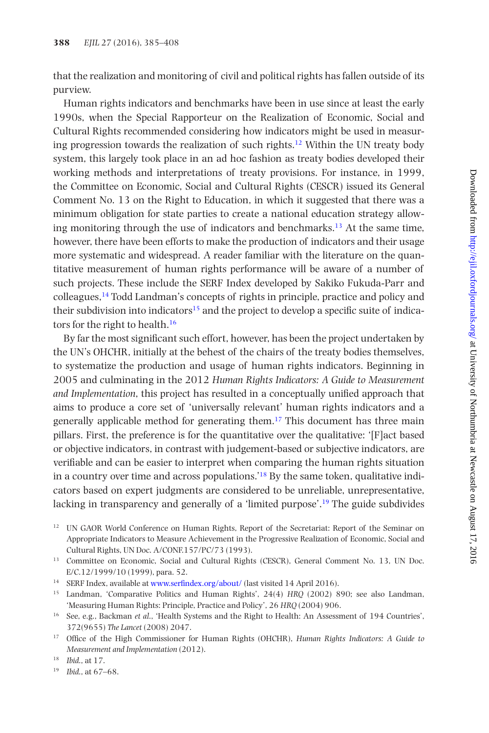that the realization and monitoring of civil and political rights has fallen outside of its purview.

Human rights indicators and benchmarks have been in use since at least the early 1990s, when the Special Rapporteur on the Realization of Economic, Social and Cultural Rights recommended considering how indicators might be used in measur-ing progression towards the realization of such rights.<sup>[12](#page-4-0)</sup> Within the UN treaty body system, this largely took place in an ad hoc fashion as treaty bodies developed their working methods and interpretations of treaty provisions. For instance, in 1999, the Committee on Economic, Social and Cultural Rights (CESCR) issued its General Comment No. 13 on the Right to Education, in which it suggested that there was a minimum obligation for state parties to create a national education strategy allowing monitoring through the use of indicators and benchmarks.<sup>13</sup> At the same time, however, there have been efforts to make the production of indicators and their usage more systematic and widespread. A reader familiar with the literature on the quantitative measurement of human rights performance will be aware of a number of such projects. These include the SERF Index developed by Sakiko Fukuda-Parr and colleagues[,14](#page-4-2) Todd Landman's concepts of rights in principle, practice and policy and their subdivision into indicators<sup>15</sup> and the project to develop a specific suite of indicators for the right to health[.16](#page-4-4)

By far the most significant such effort, however, has been the project undertaken by the UN's OHCHR, initially at the behest of the chairs of the treaty bodies themselves, to systematize the production and usage of human rights indicators. Beginning in 2005 and culminating in the 2012 *Human Rights Indicators: A Guide to Measurement and Implementation*, this project has resulted in a conceptually unified approach that aims to produce a core set of 'universally relevant' human rights indicators and a generally applicable method for generating them.[17](#page-4-5) This document has three main pillars. First, the preference is for the quantitative over the qualitative: '[F]act based or objective indicators, in contrast with judgement-based or subjective indicators, are verifiable and can be easier to interpret when comparing the human rights situation in a country over time and across populations.['18](#page-4-6) By the same token, qualitative indicators based on expert judgments are considered to be unreliable, unrepresentative, lacking in transparency and generally of a 'limited purpose'[.19](#page-4-7) The guide subdivides

- <span id="page-4-0"></span><sup>12</sup> UN GAOR World Conference on Human Rights, Report of the Secretariat: Report of the Seminar on Appropriate Indicators to Measure Achievement in the Progressive Realization of Economic, Social and Cultural Rights, UN Doc. A/CONF.157/PC/73 (1993).
- <span id="page-4-1"></span><sup>13</sup> Committee on Economic, Social and Cultural Rights (CESCR), General Comment No. 13, UN Doc. E/C.12/1999/10 (1999), para. 52.
- <span id="page-4-2"></span><sup>14</sup> SERF Index, available at [www.serfindex.org/about/](http://www.serfindex.org/about/) (last visited 14 April 2016).
- <span id="page-4-3"></span><sup>15</sup> Landman, 'Comparative Politics and Human Rights', 24(4) *HRQ* (2002) 890; see also Landman, 'Measuring Human Rights: Principle, Practice and Policy', 26 *HRQ* (2004) 906.
- <span id="page-4-4"></span><sup>16</sup> See, e.g., Backman *et al*., 'Health Systems and the Right to Health: An Assessment of 194 Countries', 372(9655) *The Lancet* (2008) 2047.
- <span id="page-4-5"></span><sup>17</sup> Office of the High Commissioner for Human Rights (OHCHR), *Human Rights Indicators: A Guide to Measurement and Implementation* (2012).
- <span id="page-4-6"></span><sup>18</sup> *Ibid*., at 17.

<span id="page-4-7"></span><sup>19</sup> *Ibid*., at 67–68.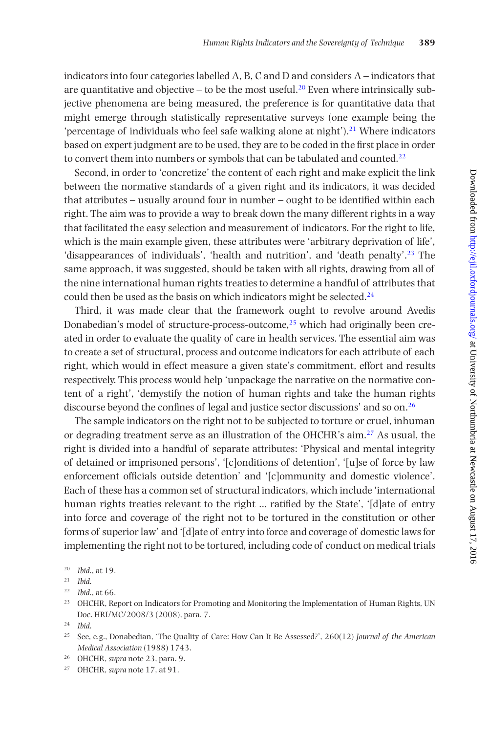indicators into four categories labelled A, B, C and D and considers A – indicators that are quantitative and objective – to be the most useful.<sup>20</sup> Even where intrinsically subjective phenomena are being measured, the preference is for quantitative data that might emerge through statistically representative surveys (one example being the 'percentage of individuals who feel safe walking alone at night')[.21](#page-5-1) Where indicators based on expert judgment are to be used, they are to be coded in the first place in order to convert them into numbers or symbols that can be tabulated and counted.<sup>[22](#page-5-2)</sup>

Second, in order to 'concretize' the content of each right and make explicit the link between the normative standards of a given right and its indicators, it was decided that attributes – usually around four in number – ought to be identified within each right. The aim was to provide a way to break down the many different rights in a way that facilitated the easy selection and measurement of indicators. For the right to life, which is the main example given, these attributes were 'arbitrary deprivation of life', 'disappearances of individuals', 'health and nutrition', and 'death penalty'.[23](#page-5-3) The same approach, it was suggested, should be taken with all rights, drawing from all of the nine international human rights treaties to determine a handful of attributes that could then be used as the basis on which indicators might be selected.<sup>24</sup>

Third, it was made clear that the framework ought to revolve around Avedis Donabedian's model of structure-process-outcome, $2<sup>5</sup>$  which had originally been created in order to evaluate the quality of care in health services. The essential aim was to create a set of structural, process and outcome indicators for each attribute of each right, which would in effect measure a given state's commitment, effort and results respectively. This process would help 'unpackage the narrative on the normative content of a right', 'demystify the notion of human rights and take the human rights discourse beyond the confines of legal and justice sector discussions' and so on[.26](#page-5-6)

The sample indicators on the right not to be subjected to torture or cruel, inhuman or degrading treatment serve as an illustration of the OHCHR's aim.<sup>27</sup> As usual, the right is divided into a handful of separate attributes: 'Physical and mental integrity of detained or imprisoned persons', '[c]onditions of detention', '[u]se of force by law enforcement officials outside detention' and '[c]ommunity and domestic violence'. Each of these has a common set of structural indicators, which include 'international human rights treaties relevant to the right … ratified by the State', '[d]ate of entry into force and coverage of the right not to be tortured in the constitution or other forms of superior law' and '[d]ate of entry into force and coverage of domestic laws for implementing the right not to be tortured, including code of conduct on medical trials

- <span id="page-5-5"></span><sup>25</sup> See, e.g., Donabedian, 'The Quality of Care: How Can It Be Assessed?', 260(12) *Journal of the American Medical Association* (1988) 1743.
- <span id="page-5-6"></span><sup>26</sup> OHCHR, *supra* note 23, para. 9.
- <span id="page-5-7"></span><sup>27</sup> OHCHR, *supra* note 17, at 91.

<span id="page-5-0"></span><sup>20</sup> *Ibid*., at 19.

<span id="page-5-1"></span><sup>21</sup> *Ibid*.

<span id="page-5-2"></span><sup>22</sup> *Ibid*., at 66.

<span id="page-5-3"></span><sup>&</sup>lt;sup>23</sup> OHCHR, Report on Indicators for Promoting and Monitoring the Implementation of Human Rights, UN Doc. HRI/MC/2008/3 (2008), para. 7.

<span id="page-5-4"></span><sup>24</sup> *Ibid*.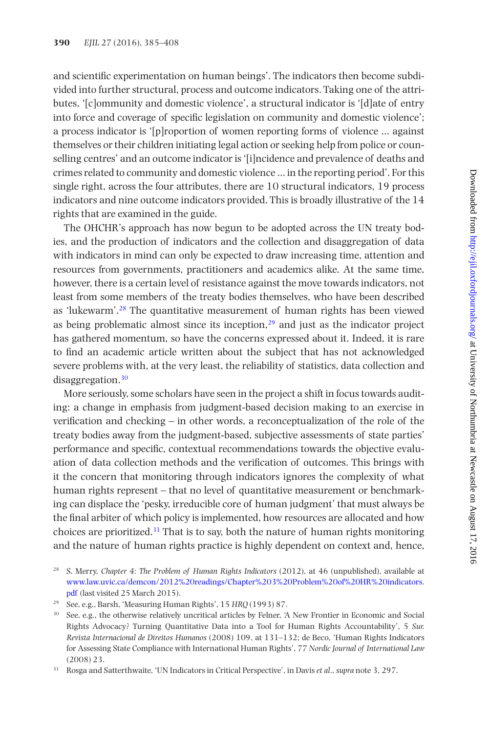and scientific experimentation on human beings'. The indicators then become subdivided into further structural, process and outcome indicators. Taking one of the attributes, '[c]ommunity and domestic violence', a structural indicator is '[d]ate of entry into force and coverage of specific legislation on community and domestic violence'; a process indicator is '[p]roportion of women reporting forms of violence … against themselves or their children initiating legal action or seeking help from police or counselling centres' and an outcome indicator is '[i]ncidence and prevalence of deaths and crimes related to community and domestic violence … in the reporting period'. For this single right, across the four attributes, there are 10 structural indicators, 19 process indicators and nine outcome indicators provided. This is broadly illustrative of the 14 rights that are examined in the guide.

The OHCHR's approach has now begun to be adopted across the UN treaty bodies, and the production of indicators and the collection and disaggregation of data with indicators in mind can only be expected to draw increasing time, attention and resources from governments, practitioners and academics alike. At the same time, however, there is a certain level of resistance against the move towards indicators, not least from some members of the treaty bodies themselves, who have been described as 'lukewarm'.[28](#page-6-0) The quantitative measurement of human rights has been viewed as being problematic almost since its inception, $29$  and just as the indicator project has gathered momentum, so have the concerns expressed about it. Indeed, it is rare to find an academic article written about the subject that has not acknowledged severe problems with, at the very least, the reliability of statistics, data collection and disaggregation.<sup>30</sup>

More seriously, some scholars have seen in the project a shift in focus towards auditing: a change in emphasis from judgment-based decision making to an exercise in verification and checking – in other words, a reconceptualization of the role of the treaty bodies away from the judgment-based, subjective assessments of state parties' performance and specific, contextual recommendations towards the objective evaluation of data collection methods and the verification of outcomes. This brings with it the concern that monitoring through indicators ignores the complexity of what human rights represent – that no level of quantitative measurement or benchmarking can displace the 'pesky, irreducible core of human judgment' that must always be the final arbiter of which policy is implemented, how resources are allocated and how choices are prioritized[.31](#page-6-3) That is to say, both the nature of human rights monitoring and the nature of human rights practice is highly dependent on context and, hence,

<span id="page-6-0"></span><sup>28</sup> S. Merry, *Chapter 4: The Problem of Human Rights Indicators* (2012), at 46 (unpublished), available at [www.law.uvic.ca/demcon/2012%20readings/Chapter%203%20Problem%20of%20HR%20indicators.](http://www.law.uvic.ca/demcon/2012%20readings/Chapter%203%20Problem%20of%20HR%20indicators.pdf) [pdf](http://www.law.uvic.ca/demcon/2012%20readings/Chapter%203%20Problem%20of%20HR%20indicators.pdf) (last visited 25 March 2015).

<span id="page-6-1"></span><sup>29</sup> See, e.g., Barsh, 'Measuring Human Rights', 15 *HRQ* (1993) 87.

<span id="page-6-2"></span><sup>&</sup>lt;sup>30</sup> See, e.g., the otherwise relatively uncritical articles by Felner, 'A New Frontier in Economic and Social Rights Advocacy? Turning Quantitative Data into a Tool for Human Rights Accountability', 5 *Sur. Revista Internacional de Direitos Humanos* (2008) 109, at 131–132; de Beco, 'Human Rights Indicators for Assessing State Compliance with International Human Rights', 77 *Nordic Journal of International Law* (2008) 23.

<span id="page-6-3"></span><sup>31</sup> Rosga and Satterthwaite, 'UN Indicators in Critical Perspective', in Davis *et al*., *supra* note 3, 297.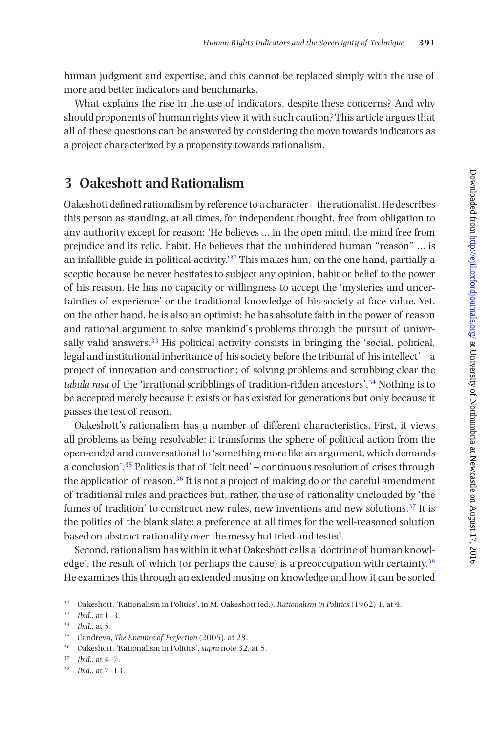human judgment and expertise, and this cannot be replaced simply with the use of more and better indicators and benchmarks.

What explains the rise in the use of indicators, despite these concerns? And why should proponents of human rights view it with such caution? This article argues that all of these questions can be answered by considering the move towards indicators as a project characterized by a propensity towards rationalism.

# **3 Oakeshott and Rationalism**

Oakeshott defined rationalism by reference to a character – the rationalist. He describes this person as standing, at all times, for independent thought, free from obligation to any authority except for reason: 'He believes … in the open mind, the mind free from prejudice and its relic, habit. He believes that the unhindered human "reason" … is an infallible guide in political activity.['32](#page-7-0) This makes him, on the one hand, partially a sceptic because he never hesitates to subject any opinion, habit or belief to the power of his reason. He has no capacity or willingness to accept the 'mysteries and uncertainties of experience' or the traditional knowledge of his society at face value. Yet, on the other hand, he is also an optimist: he has absolute faith in the power of reason and rational argument to solve mankind's problems through the pursuit of universally valid answers.[33](#page-7-1) His political activity consists in bringing the 'social, political, legal and institutional inheritance of his society before the tribunal of his intellect' – a project of innovation and construction; of solving problems and scrubbing clear the *tabula rasa* of the 'irrational scribblings of tradition-ridden ancestors'.[34](#page-7-2) Nothing is to be accepted merely because it exists or has existed for generations but only because it passes the test of reason.

Oakeshott's rationalism has a number of different characteristics. First, it views all problems as being resolvable; it transforms the sphere of political action from the open-ended and conversational to 'something more like an argument, which demands a conclusion'[.35](#page-7-3) Politics is that of 'felt need' – continuous resolution of crises through the application of reason.<sup>36</sup> It is not a project of making do or the careful amendment of traditional rules and practices but, rather, the use of rationality unclouded by 'the fumes of tradition' to construct new rules, new inventions and new solutions.<sup>37</sup> It is the politics of the blank slate: a preference at all times for the well-reasoned solution based on abstract rationality over the messy but tried and tested.

Second, rationalism has within it what Oakeshott calls a 'doctrine of human knowledge', the result of which (or perhaps the cause) is a preoccupation with certainty.<sup>38</sup> He examines this through an extended musing on knowledge and how it can be sorted

<span id="page-7-0"></span><sup>32</sup> Oakeshott, 'Rationalism in Politics', in M. Oakeshott (ed.), *Rationalism in Politics* (1962) 1, at 4.

<span id="page-7-1"></span><sup>33</sup> *Ibid.*, at 1–3.

<span id="page-7-2"></span><sup>34</sup> *Ibid*., at 5.

<span id="page-7-3"></span><sup>35</sup> Candreva, *The Enemies of Perfection* (2005), at 28.

<span id="page-7-4"></span><sup>36</sup> Oakeshott, 'Rationalism in Politics', *supra* note 32, at 5.

<span id="page-7-5"></span><sup>37</sup> *Ibid*., at 4–7.

<span id="page-7-6"></span><sup>38</sup> *Ibid*., at 7–13.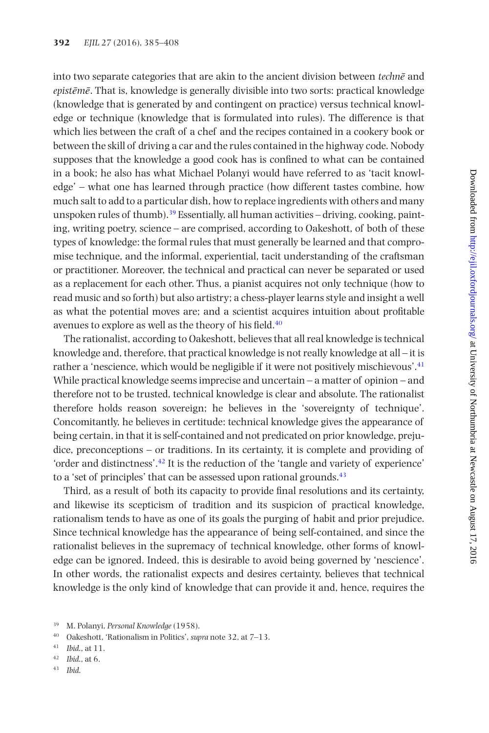into two separate categories that are akin to the ancient division between *technē* and *epistēmē*. That is, knowledge is generally divisible into two sorts: practical knowledge (knowledge that is generated by and contingent on practice) versus technical knowledge or technique (knowledge that is formulated into rules). The difference is that which lies between the craft of a chef and the recipes contained in a cookery book or between the skill of driving a car and the rules contained in the highway code. Nobody supposes that the knowledge a good cook has is confined to what can be contained in a book; he also has what Michael Polanyi would have referred to as 'tacit knowledge' – what one has learned through practice (how different tastes combine, how much salt to add to a particular dish, how to replace ingredients with others and many unspoken rules of thumb).<sup>[39](#page-8-0)</sup> Essentially, all human activities – driving, cooking, painting, writing poetry, science – are comprised, according to Oakeshott, of both of these types of knowledge: the formal rules that must generally be learned and that compromise technique, and the informal, experiential, tacit understanding of the craftsman or practitioner. Moreover, the technical and practical can never be separated or used as a replacement for each other. Thus, a pianist acquires not only technique (how to read music and so forth) but also artistry; a chess-player learns style and insight a well as what the potential moves are; and a scientist acquires intuition about profitable avenues to explore as well as the theory of his field.[40](#page-8-1)

The rationalist, according to Oakeshott, believes that all real knowledge is technical knowledge and, therefore, that practical knowledge is not really knowledge at all – it is rather a 'nescience, which would be negligible if it were not positively mischievous'.[41](#page-8-2) While practical knowledge seems imprecise and uncertain – a matter of opinion – and therefore not to be trusted, technical knowledge is clear and absolute. The rationalist therefore holds reason sovereign; he believes in the 'sovereignty of technique'. Concomitantly, he believes in certitude: technical knowledge gives the appearance of being certain, in that it is self-contained and not predicated on prior knowledge, prejudice, preconceptions – or traditions. In its certainty, it is complete and providing of 'order and distinctness'. $^{42}$  It is the reduction of the 'tangle and variety of experience' to a 'set of principles' that can be assessed upon rational grounds.<sup>[43](#page-8-4)</sup>

Third, as a result of both its capacity to provide final resolutions and its certainty, and likewise its scepticism of tradition and its suspicion of practical knowledge, rationalism tends to have as one of its goals the purging of habit and prior prejudice. Since technical knowledge has the appearance of being self-contained, and since the rationalist believes in the supremacy of technical knowledge, other forms of knowledge can be ignored. Indeed, this is desirable to avoid being governed by 'nescience'. In other words, the rationalist expects and desires certainty, believes that technical knowledge is the only kind of knowledge that can provide it and, hence, requires the

<span id="page-8-4"></span><sup>43</sup> *Ibid*.

<span id="page-8-0"></span><sup>39</sup> M. Polanyi, *Personal Knowledge* (1958).

<span id="page-8-1"></span><sup>40</sup> Oakeshott, 'Rationalism in Politics', *supra* note 32, at 7–13.

<span id="page-8-2"></span><sup>41</sup> *Ibid*., at 11.

<span id="page-8-3"></span><sup>42</sup> *Ibid*., at 6.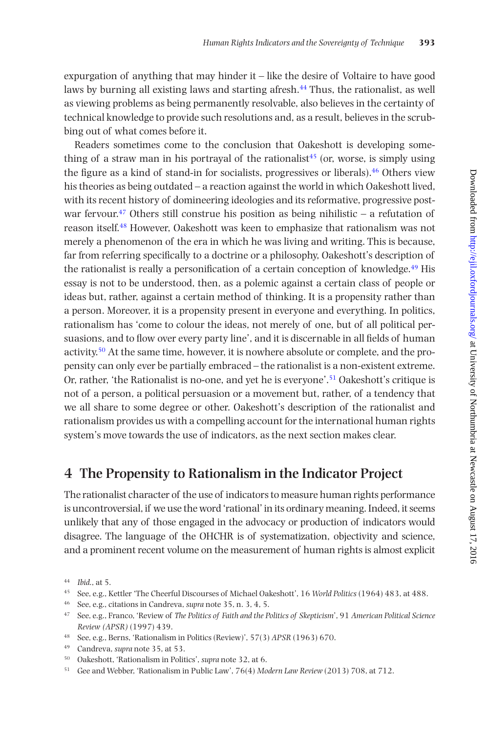expurgation of anything that may hinder it – like the desire of Voltaire to have good laws by burning all existing laws and starting afresh.<sup>44</sup> Thus, the rationalist, as well as viewing problems as being permanently resolvable, also believes in the certainty of technical knowledge to provide such resolutions and, as a result, believes in the scrubbing out of what comes before it.

Readers sometimes come to the conclusion that Oakeshott is developing something of a straw man in his portrayal of the rationalist<sup>45</sup> (or, worse, is simply using the figure as a kind of stand-in for socialists, progressives or liberals)[.46](#page-9-2) Others view his theories as being outdated – a reaction against the world in which Oakeshott lived, with its recent history of domineering ideologies and its reformative, progressive post-war fervour.<sup>[47](#page-9-3)</sup> Others still construe his position as being nihilistic – a refutation of reason itself[.48](#page-9-4) However, Oakeshott was keen to emphasize that rationalism was not merely a phenomenon of the era in which he was living and writing. This is because, far from referring specifically to a doctrine or a philosophy, Oakeshott's description of the rationalist is really a personification of a certain conception of knowledge. $49$  His essay is not to be understood, then, as a polemic against a certain class of people or ideas but, rather, against a certain method of thinking. It is a propensity rather than a person. Moreover, it is a propensity present in everyone and everything. In politics, rationalism has 'come to colour the ideas, not merely of one, but of all political persuasions, and to flow over every party line', and it is discernable in all fields of human activity.[50](#page-9-6) At the same time, however, it is nowhere absolute or complete, and the propensity can only ever be partially embraced – the rationalist is a non-existent extreme. Or, rather, 'the Rationalist is no-one, and yet he is everyone'.[51](#page-9-7) Oakeshott's critique is not of a person, a political persuasion or a movement but, rather, of a tendency that we all share to some degree or other. Oakeshott's description of the rationalist and rationalism provides us with a compelling account for the international human rights system's move towards the use of indicators, as the next section makes clear.

#### **4 The Propensity to Rationalism in the Indicator Project**

The rationalist character of the use of indicators to measure human rights performance is uncontroversial, if we use the word 'rational' in its ordinary meaning. Indeed, it seems unlikely that any of those engaged in the advocacy or production of indicators would disagree. The language of the OHCHR is of systematization, objectivity and science, and a prominent recent volume on the measurement of human rights is almost explicit

<span id="page-9-0"></span><sup>44</sup> *Ibid*., at 5.

<span id="page-9-1"></span><sup>45</sup> See, e.g., Kettler 'The Cheerful Discourses of Michael Oakeshott', 16 *World Politics* (1964) 483, at 488.

<span id="page-9-2"></span><sup>46</sup> See, e.g., citations in Candreva, *supra* note 35, n. 3, 4, 5.

<span id="page-9-3"></span><sup>47</sup> See, e.g., Franco, 'Review of *The Politics of Faith and the Politics of Skepticism*', 91 *American Political Science Review (APSR)* (1997) 439.

<span id="page-9-4"></span><sup>48</sup> See, e.g., Berns, 'Rationalism in Politics (Review)', 57(3) *APSR* (1963) 670.

<span id="page-9-5"></span><sup>49</sup> Candreva, *supra* note 35, at 53.

<span id="page-9-6"></span><sup>50</sup> Oakeshott, 'Rationalism in Politics', *supra* note 32, at 6.

<span id="page-9-7"></span><sup>51</sup> Gee and Webber, 'Rationalism in Public Law', 76(4) *Modern Law Review* (2013) 708, at 712.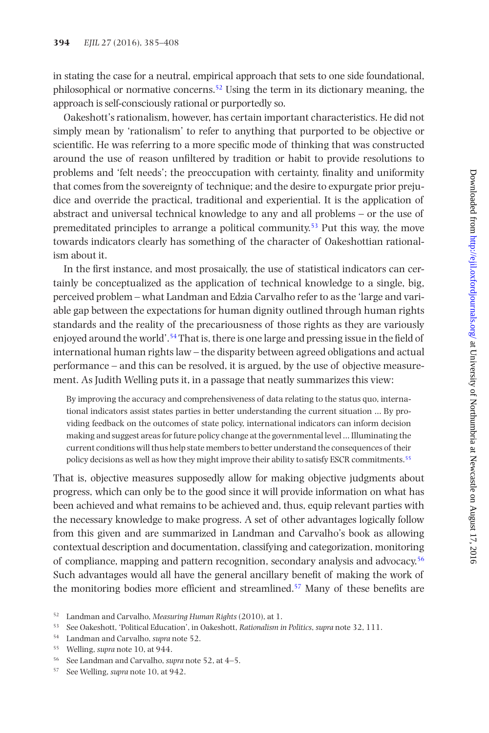in stating the case for a neutral, empirical approach that sets to one side foundational, philosophical or normative concerns.[52](#page-10-0) Using the term in its dictionary meaning, the approach is self-consciously rational or purportedly so.

Oakeshott's rationalism, however, has certain important characteristics. He did not simply mean by 'rationalism' to refer to anything that purported to be objective or scientific. He was referring to a more specific mode of thinking that was constructed around the use of reason unfiltered by tradition or habit to provide resolutions to problems and 'felt needs'; the preoccupation with certainty, finality and uniformity that comes from the sovereignty of technique; and the desire to expurgate prior prejudice and override the practical, traditional and experiential. It is the application of abstract and universal technical knowledge to any and all problems – or the use of premeditated principles to arrange a political community.<sup>53</sup> Put this way, the move towards indicators clearly has something of the character of Oakeshottian rationalism about it.

In the first instance, and most prosaically, the use of statistical indicators can certainly be conceptualized as the application of technical knowledge to a single, big, perceived problem – what Landman and Edzia Carvalho refer to as the 'large and variable gap between the expectations for human dignity outlined through human rights standards and the reality of the precariousness of those rights as they are variously enjoyed around the world'.[54](#page-10-2) That is, there is one large and pressing issue in the field of international human rights law – the disparity between agreed obligations and actual performance – and this can be resolved, it is argued, by the use of objective measurement. As Judith Welling puts it, in a passage that neatly summarizes this view:

By improving the accuracy and comprehensiveness of data relating to the status quo, international indicators assist states parties in better understanding the current situation ... By providing feedback on the outcomes of state policy, international indicators can inform decision making and suggest areas for future policy change at the governmental level … Illuminating the current conditions will thus help state members to better understand the consequences of their policy decisions as well as how they might improve their ability to satisfy ESCR commitments.<sup>[55](#page-10-3)</sup>

That is, objective measures supposedly allow for making objective judgments about progress, which can only be to the good since it will provide information on what has been achieved and what remains to be achieved and, thus, equip relevant parties with the necessary knowledge to make progress. A set of other advantages logically follow from this given and are summarized in Landman and Carvalho's book as allowing contextual description and documentation, classifying and categorization, monitoring of compliance, mapping and pattern recognition, secondary analysis and advocacy.[56](#page-10-4) Such advantages would all have the general ancillary benefit of making the work of the monitoring bodies more efficient and streamlined[.57](#page-10-5) Many of these benefits are

- <span id="page-10-0"></span><sup>52</sup> Landman and Carvalho, *Measuring Human Rights* (2010), at 1.
- <span id="page-10-1"></span><sup>53</sup> See Oakeshott, 'Political Education', in Oakeshott, *Rationalism in Politics*, *supra* note 32, 111.
- <span id="page-10-2"></span><sup>54</sup> Landman and Carvalho, *supra* note 52.
- <span id="page-10-3"></span><sup>55</sup> Welling, *supra* note 10, at 944.
- <span id="page-10-4"></span><sup>56</sup> See Landman and Carvalho, *supra* note 52, at 4–5.
- <span id="page-10-5"></span><sup>57</sup> See Welling, *supra* note 10, at 942.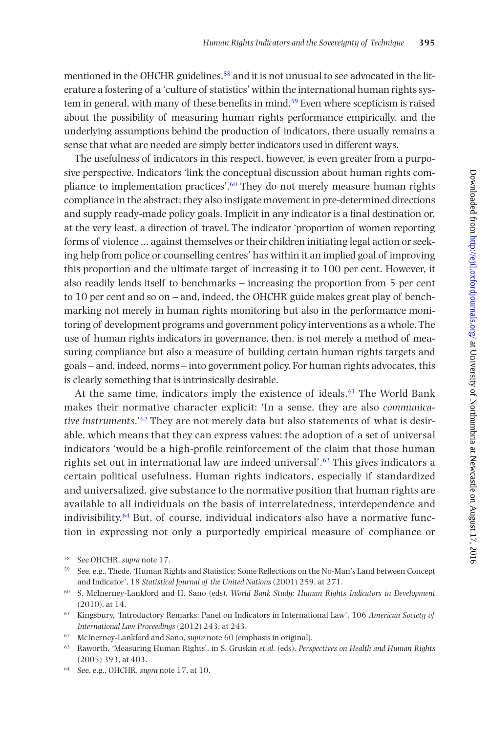mentioned in the OHCHR guidelines,  $5<sup>8</sup>$  and it is not unusual to see advocated in the literature a fostering of a 'culture of statistics' within the international human rights system in general, with many of these benefits in mind[.59](#page-11-1) Even where scepticism is raised about the possibility of measuring human rights performance empirically, and the underlying assumptions behind the production of indicators, there usually remains a sense that what are needed are simply better indicators used in different ways.

The usefulness of indicators in this respect, however, is even greater from a purposive perspective. Indicators 'link the conceptual discussion about human rights compliance to implementation practices'.<sup>60</sup> They do not merely measure human rights compliance in the abstract; they also instigate movement in pre-determined directions and supply ready-made policy goals. Implicit in any indicator is a final destination or, at the very least, a direction of travel. The indicator 'proportion of women reporting forms of violence … against themselves or their children initiating legal action or seeking help from police or counselling centres' has within it an implied goal of improving this proportion and the ultimate target of increasing it to 100 per cent. However, it also readily lends itself to benchmarks – increasing the proportion from 5 per cent to 10 per cent and so on – and, indeed, the OHCHR guide makes great play of benchmarking not merely in human rights monitoring but also in the performance monitoring of development programs and government policy interventions as a whole. The use of human rights indicators in governance, then, is not merely a method of measuring compliance but also a measure of building certain human rights targets and goals – and, indeed, norms – into government policy. For human rights advocates, this is clearly something that is intrinsically desirable.

At the same time, indicators imply the existence of ideals.<sup>61</sup> The World Bank makes their normative character explicit: 'In a sense, they are also *communicative instruments*.'[62](#page-11-4) They are not merely data but also statements of what is desirable, which means that they can express values: the adoption of a set of universal indicators 'would be a high-profile reinforcement of the claim that those human rights set out in international law are indeed universal'.<sup>63</sup> This gives indicators a certain political usefulness. Human rights indicators, especially if standardized and universalized, give substance to the normative position that human rights are available to all individuals on the basis of interrelatedness, interdependence and indivisibility.[64](#page-11-6) But, of course, individual indicators also have a normative function in expressing not only a purportedly empirical measure of compliance or

- <span id="page-11-2"></span><sup>60</sup> S. McInerney-Lankford and H. Sano (eds), *World Bank Study: Human Rights Indicators in Development* (2010), at 14.
- <span id="page-11-3"></span><sup>61</sup> Kingsbury, 'Introductory Remarks: Panel on Indicators in International Law', 106 *American Society of International Law Proceedings* (2012) 243, at 243.
- <span id="page-11-4"></span><sup>62</sup> McInerney-Lankford and Sano, *supra* note 60 (emphasis in original).
- <span id="page-11-5"></span><sup>63</sup> Raworth, 'Measuring Human Rights', in S. Gruskin *et al.* (eds), *Perspectives on Health and Human Rights* (2005) 393, at 403.
- <span id="page-11-6"></span><sup>64</sup> See, e.g., OHCHR, *supra* note 17, at 10.

<span id="page-11-0"></span><sup>58</sup> See OHCHR, *supra* note 17.

<span id="page-11-1"></span><sup>59</sup> See, e.g., Thede, 'Human Rights and Statistics: Some Reflections on the No-Man's Land between Concept and Indicator', 18 *Statistical Journal of the United Nations* (2001) 259, at 271.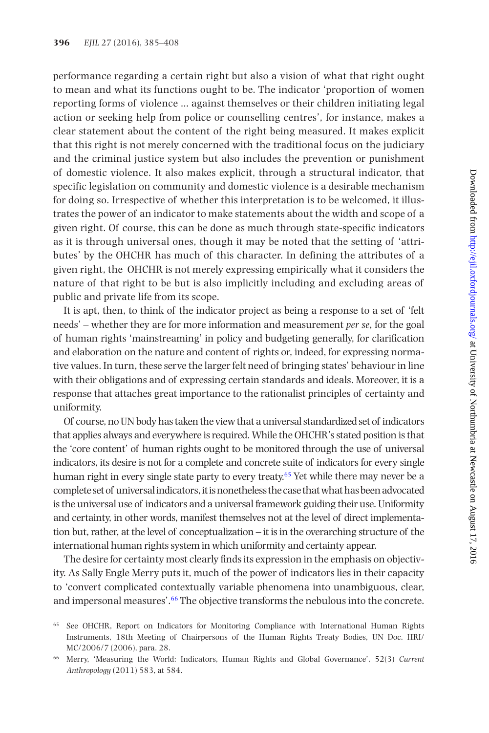performance regarding a certain right but also a vision of what that right ought to mean and what its functions ought to be. The indicator 'proportion of women reporting forms of violence … against themselves or their children initiating legal action or seeking help from police or counselling centres', for instance, makes a clear statement about the content of the right being measured. It makes explicit that this right is not merely concerned with the traditional focus on the judiciary and the criminal justice system but also includes the prevention or punishment of domestic violence. It also makes explicit, through a structural indicator, that specific legislation on community and domestic violence is a desirable mechanism for doing so. Irrespective of whether this interpretation is to be welcomed, it illustrates the power of an indicator to make statements about the width and scope of a given right. Of course, this can be done as much through state-specific indicators as it is through universal ones, though it may be noted that the setting of 'attributes' by the OHCHR has much of this character. In defining the attributes of a given right, the OHCHR is not merely expressing empirically what it considers the nature of that right to be but is also implicitly including and excluding areas of public and private life from its scope.

It is apt, then, to think of the indicator project as being a response to a set of 'felt needs' – whether they are for more information and measurement *per se*, for the goal of human rights 'mainstreaming' in policy and budgeting generally, for clarification and elaboration on the nature and content of rights or, indeed, for expressing normative values. In turn, these serve the larger felt need of bringing states' behaviour in line with their obligations and of expressing certain standards and ideals. Moreover, it is a response that attaches great importance to the rationalist principles of certainty and uniformity.

Of course, no UN body has taken the view that a universal standardized set of indicators that applies always and everywhere is required. While the OHCHR's stated position is that the 'core content' of human rights ought to be monitored through the use of universal indicators, its desire is not for a complete and concrete suite of indicators for every single human right in every single state party to every treaty.<sup>65</sup> Yet while there may never be a complete set of universal indicators, it is nonetheless the case that what has been advocated is the universal use of indicators and a universal framework guiding their use. Uniformity and certainty, in other words, manifest themselves not at the level of direct implementation but, rather, at the level of conceptualization – it is in the overarching structure of the international human rights system in which uniformity and certainty appear.

The desire for certainty most clearly finds its expression in the emphasis on objectivity. As Sally Engle Merry puts it, much of the power of indicators lies in their capacity to 'convert complicated contextually variable phenomena into unambiguous, clear, and impersonal measures'.[66](#page-12-1) The objective transforms the nebulous into the concrete.

<span id="page-12-0"></span><sup>&</sup>lt;sup>65</sup> See OHCHR, Report on Indicators for Monitoring Compliance with International Human Rights Instruments, 18th Meeting of Chairpersons of the Human Rights Treaty Bodies, UN Doc. HRI/ MC/2006/7 (2006), para. 28.

<span id="page-12-1"></span><sup>66</sup> Merry, 'Measuring the World: Indicators, Human Rights and Global Governance', 52(3) *Current Anthropology* (2011) 583, at 584.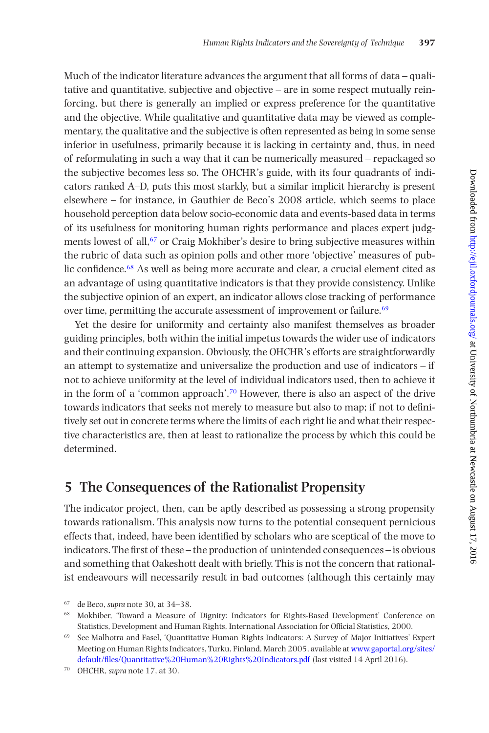Much of the indicator literature advances the argument that all forms of data – qualitative and quantitative, subjective and objective – are in some respect mutually reinforcing, but there is generally an implied or express preference for the quantitative and the objective. While qualitative and quantitative data may be viewed as complementary, the qualitative and the subjective is often represented as being in some sense inferior in usefulness, primarily because it is lacking in certainty and, thus, in need of reformulating in such a way that it can be numerically measured – repackaged so the subjective becomes less so. The OHCHR's guide, with its four quadrants of indicators ranked A–D, puts this most starkly, but a similar implicit hierarchy is present elsewhere – for instance, in Gauthier de Beco's 2008 article, which seems to place household perception data below socio-economic data and events-based data in terms of its usefulness for monitoring human rights performance and places expert judgments lowest of all, $67$  or Craig Mokhiber's desire to bring subjective measures within the rubric of data such as opinion polls and other more 'objective' measures of pub-lic confidence.<sup>[68](#page-13-1)</sup> As well as being more accurate and clear, a crucial element cited as an advantage of using quantitative indicators is that they provide consistency. Unlike the subjective opinion of an expert, an indicator allows close tracking of performance over time, permitting the accurate assessment of improvement or failure.<sup>69</sup>

Yet the desire for uniformity and certainty also manifest themselves as broader guiding principles, both within the initial impetus towards the wider use of indicators and their continuing expansion. Obviously, the OHCHR's efforts are straightforwardly an attempt to systematize and universalize the production and use of indicators – if not to achieve uniformity at the level of individual indicators used, then to achieve it in the form of a 'common approach'.[70](#page-13-3) However, there is also an aspect of the drive towards indicators that seeks not merely to measure but also to map; if not to definitively set out in concrete terms where the limits of each right lie and what their respective characteristics are, then at least to rationalize the process by which this could be determined.

#### **5 The Consequences of the Rationalist Propensity**

The indicator project, then, can be aptly described as possessing a strong propensity towards rationalism. This analysis now turns to the potential consequent pernicious effects that, indeed, have been identified by scholars who are sceptical of the move to indicators. The first of these – the production of unintended consequences – is obvious and something that Oakeshott dealt with briefly. This is not the concern that rationalist endeavours will necessarily result in bad outcomes (although this certainly may

<span id="page-13-3"></span><sup>70</sup> OHCHR, *supra* note 17, at 30.

<span id="page-13-0"></span><sup>67</sup> de Beco, *supra* note 30, at 34–38.

<span id="page-13-1"></span><sup>68</sup> Mokhiber, 'Toward a Measure of Dignity: Indicators for Rights-Based Development' Conference on Statistics, Development and Human Rights, International Association for Official Statistics, 2000.

<span id="page-13-2"></span><sup>69</sup> See Malhotra and Fasel, 'Quantitative Human Rights Indicators: A Survey of Major Initiatives' Expert Meeting on Human Rights Indicators, Turku, Finland, March 2005, available at [www.gaportal.org/sites/](http://www.gaportal.org/sites/default/files/Quantitative%20Human%20Rights%20Indicators.pdf) [default/files/Quantitative%20Human%20Rights%20Indicators.pdf](http://www.gaportal.org/sites/default/files/Quantitative%20Human%20Rights%20Indicators.pdf) (last visited 14 April 2016).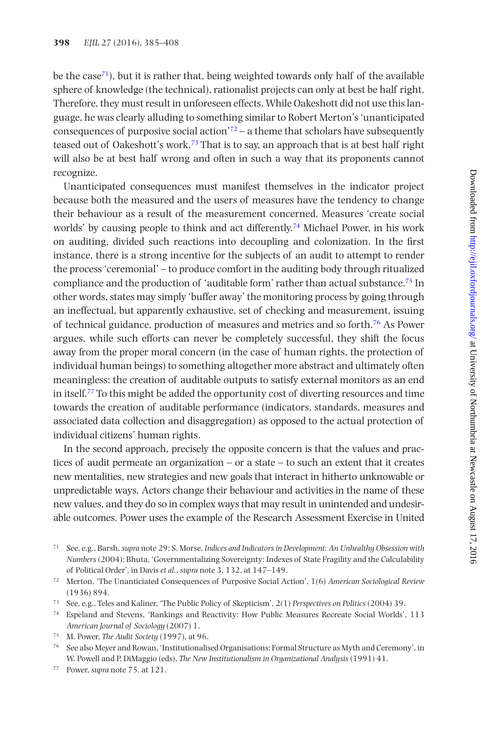be the case<sup> $71$ </sup>), but it is rather that, being weighted towards only half of the available sphere of knowledge (the technical), rationalist projects can only at best be half right. Therefore, they must result in unforeseen effects. While Oakeshott did not use this language, he was clearly alluding to something similar to Robert Merton's 'unanticipated consequences of purposive social action'<sup>72</sup> – a theme that scholars have subsequently teased out of Oakeshott's work.[73](#page-14-2) That is to say, an approach that is at best half right will also be at best half wrong and often in such a way that its proponents cannot recognize.

Unanticipated consequences must manifest themselves in the indicator project because both the measured and the users of measures have the tendency to change their behaviour as a result of the measurement concerned. Measures 'create social worlds' by causing people to think and act differently.<sup>74</sup> Michael Power, in his work on auditing, divided such reactions into decoupling and colonization. In the first instance, there is a strong incentive for the subjects of an audit to attempt to render the process 'ceremonial' – to produce comfort in the auditing body through ritualized compliance and the production of 'auditable form' rather than actual substance.[75](#page-14-4) In other words, states may simply 'buffer away' the monitoring process by going through an ineffectual, but apparently exhaustive, set of checking and measurement, issuing of technical guidance, production of measures and metrics and so forth.[76](#page-14-5) As Power argues, while such efforts can never be completely successful, they shift the focus away from the proper moral concern (in the case of human rights, the protection of individual human beings) to something altogether more abstract and ultimately often meaningless: the creation of auditable outputs to satisfy external monitors as an end in itself.[77](#page-14-6) To this might be added the opportunity cost of diverting resources and time towards the creation of auditable performance (indicators, standards, measures and associated data collection and disaggregation) as opposed to the actual protection of individual citizens' human rights.

In the second approach, precisely the opposite concern is that the values and practices of audit permeate an organization – or a state – to such an extent that it creates new mentalities, new strategies and new goals that interact in hitherto unknowable or unpredictable ways. Actors change their behaviour and activities in the name of these new values, and they do so in complex ways that may result in unintended and undesirable outcomes. Power uses the example of the Research Assessment Exercise in United

- <span id="page-14-0"></span><sup>71</sup> See, e.g., Barsh, *supra* note 29; S. Morse, *Indices and Indicators in Development: An Unhealthy Obsession with Numbers* (2004); Bhuta, 'Governmentalizing Sovereignty: Indexes of State Fragility and the Calculability of Political Order', in Davis *et al.*, *supra* note 3, 132, at 147–149.
- <span id="page-14-1"></span><sup>72</sup> Merton, 'The Unanticiated Consequences of Purposive Social Action', 1(6) *American Sociological Review* (1936) 894.
- <span id="page-14-2"></span><sup>73</sup> See, e.g., Teles and Kaliner, 'The Public Policy of Skepticism', 2(1) *Perspectives on Politics* (2004) 39.
- <span id="page-14-3"></span><sup>74</sup> Espeland and Stevens, 'Rankings and Reactivity: How Public Measures Recreate Social Worlds', 113 *American Journal of Sociology* (2007) 1.
- <span id="page-14-4"></span><sup>75</sup> M. Power, *The Audit Society* (1997), at 96.
- <span id="page-14-5"></span><sup>76</sup> See also Meyer and Rowan, 'Institutionalised Organisations: Formal Structure as Myth and Ceremony', in W. Powell and P. DiMaggio (eds), *The New Institutionalism in Organizational Analysis* (1991) 41.

<span id="page-14-6"></span><sup>77</sup> Power, *supra* note 75, at 121.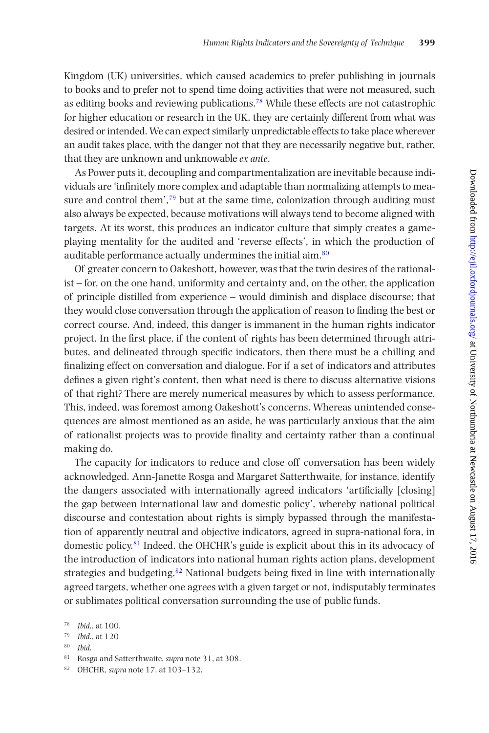Kingdom (UK) universities, which caused academics to prefer publishing in journals to books and to prefer not to spend time doing activities that were not measured, such as editing books and reviewing publications[.78](#page-15-0) While these effects are not catastrophic for higher education or research in the UK, they are certainly different from what was desired or intended. We can expect similarly unpredictable effects to take place wherever an audit takes place, with the danger not that they are necessarily negative but, rather, that they are unknown and unknowable *ex ante*.

As Power puts it, decoupling and compartmentalization are inevitable because individuals are 'infinitely more complex and adaptable than normalizing attempts to measure and control them', $79$  but at the same time, colonization through auditing must also always be expected, because motivations will always tend to become aligned with targets. At its worst, this produces an indicator culture that simply creates a gameplaying mentality for the audited and 'reverse effects', in which the production of auditable performance actually undermines the initial aim[.80](#page-15-2)

Of greater concern to Oakeshott, however, was that the twin desires of the rationalist – for, on the one hand, uniformity and certainty and, on the other, the application of principle distilled from experience – would diminish and displace discourse; that they would close conversation through the application of reason to finding the best or correct course. And, indeed, this danger is immanent in the human rights indicator project. In the first place, if the content of rights has been determined through attributes, and delineated through specific indicators, then there must be a chilling and finalizing effect on conversation and dialogue. For if a set of indicators and attributes defines a given right's content, then what need is there to discuss alternative visions of that right? There are merely numerical measures by which to assess performance. This, indeed, was foremost among Oakeshott's concerns. Whereas unintended consequences are almost mentioned as an aside, he was particularly anxious that the aim of rationalist projects was to provide finality and certainty rather than a continual making do.

The capacity for indicators to reduce and close off conversation has been widely acknowledged. Ann-Janette Rosga and Margaret Satterthwaite, for instance, identify the dangers associated with internationally agreed indicators 'artificially [closing] the gap between international law and domestic policy', whereby national political discourse and contestation about rights is simply bypassed through the manifestation of apparently neutral and objective indicators, agreed in supra-national fora, in domestic policy.[81](#page-15-3) Indeed, the OHCHR's guide is explicit about this in its advocacy of the introduction of indicators into national human rights action plans, development strategies and budgeting.<sup>[82](#page-15-4)</sup> National budgets being fixed in line with internationally agreed targets, whether one agrees with a given target or not, indisputably terminates or sublimates political conversation surrounding the use of public funds.

<span id="page-15-2"></span><sup>80</sup> *Ibid*.

<span id="page-15-0"></span><sup>78</sup> *Ibid*., at 100.

<span id="page-15-1"></span><sup>79</sup> *Ibid*., at 120

<span id="page-15-3"></span><sup>81</sup> Rosga and Satterthwaite, *supra* note 31, at 308.

<span id="page-15-4"></span><sup>82</sup> OHCHR, *supra* note 17, at 103–132.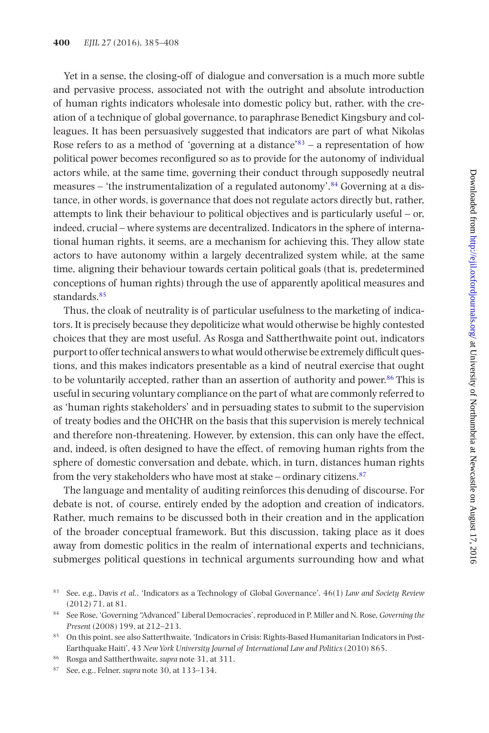Yet in a sense, the closing-off of dialogue and conversation is a much more subtle and pervasive process, associated not with the outright and absolute introduction of human rights indicators wholesale into domestic policy but, rather, with the creation of a technique of global governance, to paraphrase Benedict Kingsbury and colleagues. It has been persuasively suggested that indicators are part of what Nikolas Rose refers to as a method of 'governing at a distance'<sup>83</sup> – a representation of how political power becomes reconfigured so as to provide for the autonomy of individual actors while, at the same time, governing their conduct through supposedly neutral measures – 'the instrumentalization of a regulated autonomy'[.84](#page-16-1) Governing at a distance, in other words, is governance that does not regulate actors directly but, rather, attempts to link their behaviour to political objectives and is particularly useful – or, indeed, crucial – where systems are decentralized. Indicators in the sphere of international human rights, it seems, are a mechanism for achieving this. They allow state actors to have autonomy within a largely decentralized system while, at the same time, aligning their behaviour towards certain political goals (that is, predetermined conceptions of human rights) through the use of apparently apolitical measures and standards.<sup>[85](#page-16-2)</sup>

Thus, the cloak of neutrality is of particular usefulness to the marketing of indicators. It is precisely because they depoliticize what would otherwise be highly contested choices that they are most useful. As Rosga and Sattherthwaite point out, indicators purport to offer technical answers to what would otherwise be extremely difficult questions, and this makes indicators presentable as a kind of neutral exercise that ought to be voluntarily accepted, rather than an assertion of authority and power.<sup>86</sup> This is useful in securing voluntary compliance on the part of what are commonly referred to as 'human rights stakeholders' and in persuading states to submit to the supervision of treaty bodies and the OHCHR on the basis that this supervision is merely technical and therefore non-threatening. However, by extension, this can only have the effect, and, indeed, is often designed to have the effect, of removing human rights from the sphere of domestic conversation and debate, which, in turn, distances human rights from the very stakeholders who have most at stake – ordinary citizens. $87$ 

The language and mentality of auditing reinforces this denuding of discourse. For debate is not, of course, entirely ended by the adoption and creation of indicators. Rather, much remains to be discussed both in their creation and in the application of the broader conceptual framework. But this discussion, taking place as it does away from domestic politics in the realm of international experts and technicians, submerges political questions in technical arguments surrounding how and what

<span id="page-16-0"></span><sup>83</sup> See, e.g., Davis *et al.*, 'Indicators as a Technology of Global Governance', 46(1) *Law and Society Review* (2012) 71, at 81.

<span id="page-16-1"></span><sup>84</sup> See Rose, 'Governing "Advanced" Liberal Democracies', reproduced in P. Miller and N. Rose, *Governing the Present* (2008) 199, at 212–213.

<span id="page-16-2"></span><sup>85</sup> On this point, see also Satterthwaite, 'Indicators in Crisis: Rights-Based Humanitarian Indicators in Post-Earthquake Haiti', 43 *New York University Journal of International Law and Politics* (2010) 865.

<span id="page-16-3"></span><sup>86</sup> Rosga and Sattherthwaite, *supra* note 31, at 311.

<span id="page-16-4"></span><sup>87</sup> See, e.g., Felner, *supra* note 30, at 133–134.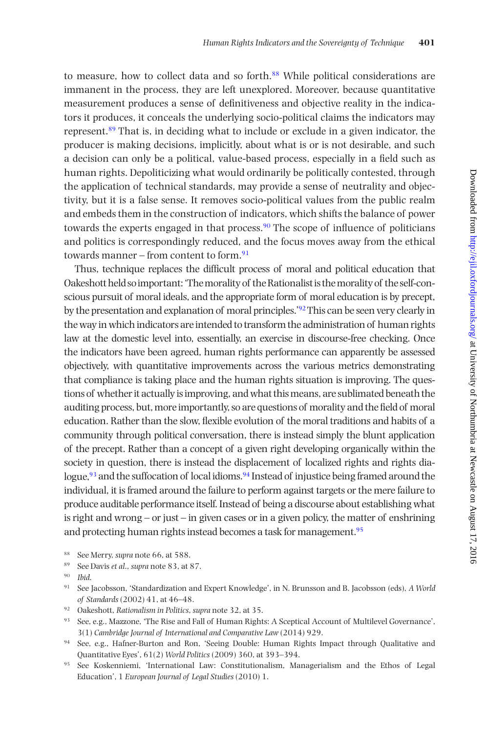to measure, how to collect data and so forth[.88](#page-17-0) While political considerations are immanent in the process, they are left unexplored. Moreover, because quantitative measurement produces a sense of definitiveness and objective reality in the indicators it produces, it conceals the underlying socio-political claims the indicators may represent[.89](#page-17-1) That is, in deciding what to include or exclude in a given indicator, the producer is making decisions, implicitly, about what is or is not desirable, and such a decision can only be a political, value-based process, especially in a field such as human rights. Depoliticizing what would ordinarily be politically contested, through the application of technical standards, may provide a sense of neutrality and objectivity, but it is a false sense. It removes socio-political values from the public realm and embeds them in the construction of indicators, which shifts the balance of power towards the experts engaged in that process.<sup>90</sup> The scope of influence of politicians and politics is correspondingly reduced, and the focus moves away from the ethical towards manner – from content to form. $91$ 

Thus, technique replaces the difficult process of moral and political education that Oakeshott held so important: 'The morality of the Rationalist is the morality of the self-conscious pursuit of moral ideals, and the appropriate form of moral education is by precept, by the presentation and explanation of moral principles.['92](#page-17-4) This can be seen very clearly in the way in which indicators are intended to transform the administration of human rights law at the domestic level into, essentially, an exercise in discourse-free checking. Once the indicators have been agreed, human rights performance can apparently be assessed objectively, with quantitative improvements across the various metrics demonstrating that compliance is taking place and the human rights situation is improving. The questions of whether it actually is improving, and what this means, are sublimated beneath the auditing process, but, more importantly, so are questions of morality and the field of moral education. Rather than the slow, flexible evolution of the moral traditions and habits of a community through political conversation, there is instead simply the blunt application of the precept. Rather than a concept of a given right developing organically within the society in question, there is instead the displacement of localized rights and rights dialogue, $93$  and the suffocation of local idioms.  $94$  Instead of injustice being framed around the individual, it is framed around the failure to perform against targets or the mere failure to produce auditable performance itself. Instead of being a discourse about establishing what is right and wrong – or just – in given cases or in a given policy, the matter of enshrining and protecting human rights instead becomes a task for management.<sup>95</sup>

- <span id="page-17-4"></span><sup>92</sup> Oakeshott, *Rationalism in Politics*, *supra* note 32, at 35.
- <span id="page-17-5"></span><sup>93</sup> See, e.g., Mazzone, 'The Rise and Fall of Human Rights: A Sceptical Account of Multilevel Governance', 3(1) *Cambridge Journal of International and Comparative Law* (2014) 929.
- <span id="page-17-6"></span>94 See, e.g., Hafner-Burton and Ron, 'Seeing Double: Human Rights Impact through Qualitative and Quantitative Eyes', 61(2) *World Politics* (2009) 360, at 393–394.
- <span id="page-17-7"></span>95 See Koskenniemi, 'International Law: Constitutionalism, Managerialism and the Ethos of Legal Education', 1 *European Journal of Legal Studies* (2010) 1.

<span id="page-17-0"></span><sup>88</sup> See Merry, *supra* note 66, at 588.

<span id="page-17-1"></span><sup>89</sup> See Davis *et al*., *supra* note 83, at 87.

<span id="page-17-2"></span><sup>90</sup> *Ibid*.

<span id="page-17-3"></span><sup>91</sup> See Jacobsson, 'Standardization and Expert Knowledge', in N. Brunsson and B. Jacobsson (eds), *A World of Standards* (2002) 41, at 46–48.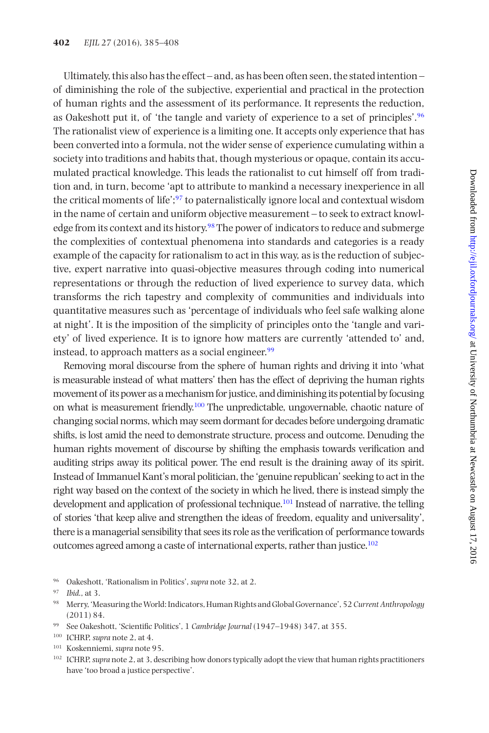Ultimately, this also has the effect – and, as has been often seen, the stated intention – of diminishing the role of the subjective, experiential and practical in the protection of human rights and the assessment of its performance. It represents the reduction, as Oakeshott put it, of 'the tangle and variety of experience to a set of principles'.[96](#page-18-0) The rationalist view of experience is a limiting one. It accepts only experience that has been converted into a formula, not the wider sense of experience cumulating within a society into traditions and habits that, though mysterious or opaque, contain its accumulated practical knowledge. This leads the rationalist to cut himself off from tradition and, in turn, become 'apt to attribute to mankind a necessary inexperience in all the critical moments of life';[97](#page-18-1) to paternalistically ignore local and contextual wisdom in the name of certain and uniform objective measurement – to seek to extract knowledge from its context and its history.[98](#page-18-2) The power of indicators to reduce and submerge the complexities of contextual phenomena into standards and categories is a ready example of the capacity for rationalism to act in this way, as is the reduction of subjective, expert narrative into quasi-objective measures through coding into numerical representations or through the reduction of lived experience to survey data, which transforms the rich tapestry and complexity of communities and individuals into quantitative measures such as 'percentage of individuals who feel safe walking alone at night'. It is the imposition of the simplicity of principles onto the 'tangle and variety' of lived experience. It is to ignore how matters are currently 'attended to' and, instead, to approach matters as a social engineer.<sup>[99](#page-18-3)</sup>

Removing moral discourse from the sphere of human rights and driving it into 'what is measurable instead of what matters' then has the effect of depriving the human rights movement of its power as a mechanism for justice, and diminishing its potential by focusing on what is measurement friendly.[100](#page-18-4) The unpredictable, ungovernable, chaotic nature of changing social norms, which may seem dormant for decades before undergoing dramatic shifts, is lost amid the need to demonstrate structure, process and outcome. Denuding the human rights movement of discourse by shifting the emphasis towards verification and auditing strips away its political power. The end result is the draining away of its spirit. Instead of Immanuel Kant's moral politician, the 'genuine republican' seeking to act in the right way based on the context of the society in which he lived, there is instead simply the development and application of professional technique[.101](#page-18-5) Instead of narrative, the telling of stories 'that keep alive and strengthen the ideas of freedom, equality and universality', there is a managerial sensibility that sees its role as the verification of performance towards outcomes agreed among a caste of international experts, rather than justice.<sup>[102](#page-18-6)</sup>

<span id="page-18-0"></span><sup>96</sup> Oakeshott, 'Rationalism in Politics', *supra* note 32, at 2.

- <span id="page-18-3"></span><sup>99</sup> See Oakeshott, 'Scientific Politics', 1 *Cambridge Journal* (1947–1948) 347, at 355.
- <span id="page-18-4"></span><sup>100</sup> ICHRP, *supra* note 2, at 4.
- <span id="page-18-5"></span><sup>101</sup> Koskenniemi, *supra* note 95.
- <span id="page-18-6"></span><sup>102</sup> ICHRP, *supra* note 2, at 3, describing how donors typically adopt the view that human rights practitioners have 'too broad a justice perspective'.

<span id="page-18-1"></span><sup>97</sup> *Ibid*., at 3.

<span id="page-18-2"></span><sup>98</sup> Merry, 'Measuring the World: Indicators, Human Rights and Global Governance', 52 *Current Anthropology* (2011) 84.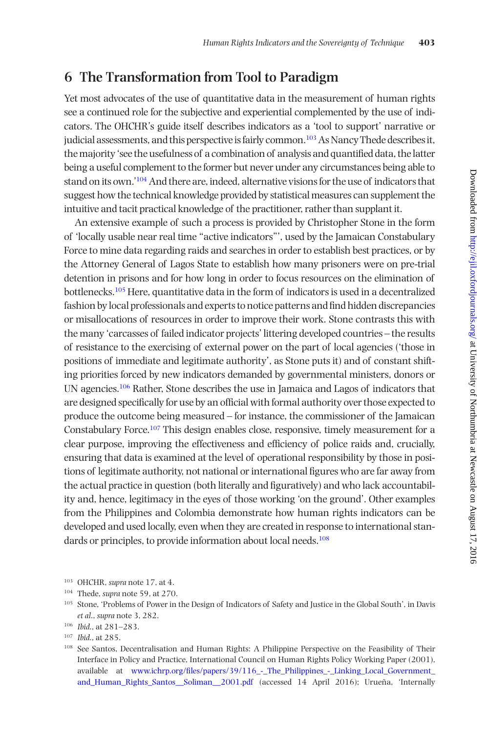#### **6 The Transformation from Tool to Paradigm**

Yet most advocates of the use of quantitative data in the measurement of human rights see a continued role for the subjective and experiential complemented by the use of indicators. The OHCHR's guide itself describes indicators as a 'tool to support' narrative or judicial assessments, and this perspective is fairly common.<sup>103</sup> As Nancy Thede describes it, the majority 'see the usefulness of a combination of analysis and quantified data, the latter being a useful complement to the former but never under any circumstances being able to stand on its own.['104](#page-19-1) And there are, indeed, alternative visions for the use of indicators that suggest how the technical knowledge provided by statistical measures can supplement the intuitive and tacit practical knowledge of the practitioner, rather than supplant it.

An extensive example of such a process is provided by Christopher Stone in the form of 'locally usable near real time "active indicators"', used by the Jamaican Constabulary Force to mine data regarding raids and searches in order to establish best practices, or by the Attorney General of Lagos State to establish how many prisoners were on pre-trial detention in prisons and for how long in order to focus resources on the elimination of bottlenecks[.105](#page-19-2) Here, quantitative data in the form of indicators is used in a decentralized fashion by local professionals and experts to notice patterns and find hidden discrepancies or misallocations of resources in order to improve their work. Stone contrasts this with the many 'carcasses of failed indicator projects' littering developed countries – the results of resistance to the exercising of external power on the part of local agencies ('those in positions of immediate and legitimate authority', as Stone puts it) and of constant shifting priorities forced by new indicators demanded by governmental ministers, donors or UN agencies.<sup>106</sup> Rather, Stone describes the use in Jamaica and Lagos of indicators that are designed specifically for use by an official with formal authority over those expected to produce the outcome being measured – for instance, the commissioner of the Jamaican Constabulary Force.[107](#page-19-4) This design enables close, responsive, timely measurement for a clear purpose, improving the effectiveness and efficiency of police raids and, crucially, ensuring that data is examined at the level of operational responsibility by those in positions of legitimate authority, not national or international figures who are far away from the actual practice in question (both literally and figuratively) and who lack accountability and, hence, legitimacy in the eyes of those working 'on the ground'. Other examples from the Philippines and Colombia demonstrate how human rights indicators can be developed and used locally, even when they are created in response to international standards or principles, to provide information about local needs.<sup>108</sup>

<span id="page-19-3"></span><sup>106</sup> *Ibid*., at 281–283.

<span id="page-19-0"></span><sup>103</sup> OHCHR, *supra* note 17, at 4.

<span id="page-19-1"></span><sup>104</sup> Thede, *supra* note 59, at 270.

<span id="page-19-2"></span><sup>&</sup>lt;sup>105</sup> Stone, 'Problems of Power in the Design of Indicators of Safety and Justice in the Global South', in Davis *et al*., *supra* note 3, 282.

<span id="page-19-4"></span><sup>107</sup> *Ibid*., at 285.

<span id="page-19-5"></span><sup>108</sup> See Santos, Decentralisation and Human Rights: A Philippine Perspective on the Feasibility of Their Interface in Policy and Practice, International Council on Human Rights Policy Working Paper (2001), available at www.ichrp.org/files/papers/39/116 - The Philippines - Linking Local Government [and\\_Human\\_Rights\\_Santos\\_\\_Soliman\\_\\_2001.pdf](http://www.ichrp.org/files/papers/39/116_-_The_Philippines_-_Linking_Local_Government_and_Human_Rights_Santos__Soliman__2001.pdf) (accessed 14 April 2016); Urueña, 'Internally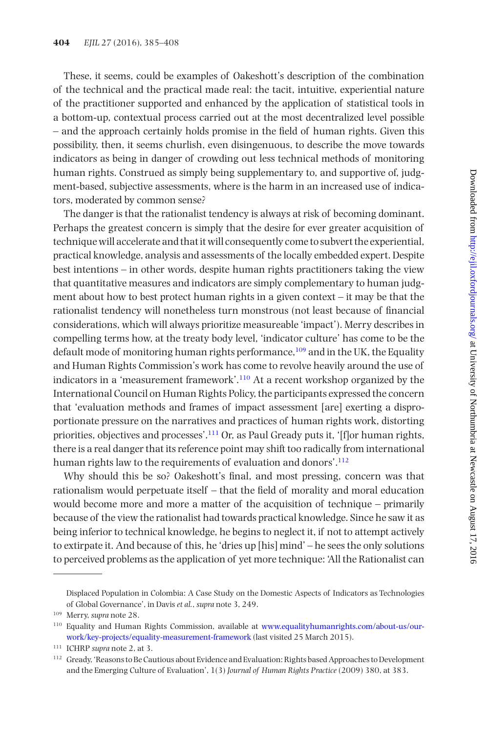These, it seems, could be examples of Oakeshott's description of the combination of the technical and the practical made real: the tacit, intuitive, experiential nature of the practitioner supported and enhanced by the application of statistical tools in a bottom-up, contextual process carried out at the most decentralized level possible – and the approach certainly holds promise in the field of human rights. Given this possibility, then, it seems churlish, even disingenuous, to describe the move towards indicators as being in danger of crowding out less technical methods of monitoring human rights. Construed as simply being supplementary to, and supportive of, judgment-based, subjective assessments, where is the harm in an increased use of indicators, moderated by common sense?

The danger is that the rationalist tendency is always at risk of becoming dominant. Perhaps the greatest concern is simply that the desire for ever greater acquisition of technique will accelerate and that it will consequently come to subvert the experiential, practical knowledge, analysis and assessments of the locally embedded expert. Despite best intentions – in other words, despite human rights practitioners taking the view that quantitative measures and indicators are simply complementary to human judgment about how to best protect human rights in a given context – it may be that the rationalist tendency will nonetheless turn monstrous (not least because of financial considerations, which will always prioritize measureable 'impact'). Merry describes in compelling terms how, at the treaty body level, 'indicator culture' has come to be the default mode of monitoring human rights performance,<sup>109</sup> and in the UK, the Equality and Human Rights Commission's work has come to revolve heavily around the use of indicators in a 'measurement framework'[.110](#page-20-1) At a recent workshop organized by the International Council on Human Rights Policy, the participants expressed the concern that 'evaluation methods and frames of impact assessment [are] exerting a disproportionate pressure on the narratives and practices of human rights work, distorting priorities, objectives and processes'.<sup>111</sup> Or, as Paul Gready puts it, '[f]or human rights, there is a real danger that its reference point may shift too radically from international human rights law to the requirements of evaluation and donors'.<sup>[112](#page-20-3)</sup>

Why should this be so? Oakeshott's final, and most pressing, concern was that rationalism would perpetuate itself – that the field of morality and moral education would become more and more a matter of the acquisition of technique – primarily because of the view the rationalist had towards practical knowledge. Since he saw it as being inferior to technical knowledge, he begins to neglect it, if not to attempt actively to extirpate it. And because of this, he 'dries up [his] mind' – he sees the only solutions to perceived problems as the application of yet more technique: 'All the Rationalist can

Displaced Population in Colombia: A Case Study on the Domestic Aspects of Indicators as Technologies of Global Governance', in Davis *et al.*, *supra* note 3, 249.

<span id="page-20-0"></span><sup>109</sup> Merry, *supra* note 28.

<span id="page-20-1"></span><sup>110</sup> Equality and Human Rights Commission, available at [www.equalityhumanrights.com/about-us/our](http://www.equalityhumanrights.com/about-us/our-work/key-projects/equality-measurement-framework)[work/key-projects/equality-measurement-framework](http://www.equalityhumanrights.com/about-us/our-work/key-projects/equality-measurement-framework) (last visited 25 March 2015).

<span id="page-20-2"></span><sup>111</sup> ICHRP *supra* note 2, at 3.

<span id="page-20-3"></span><sup>&</sup>lt;sup>112</sup> Gready, 'Reasons to Be Cautious about Evidence and Evaluation: Rights based Approaches to Development and the Emerging Culture of Evaluation', 1(3) *Journal of Human Rights Practice* (2009) 380, at 383.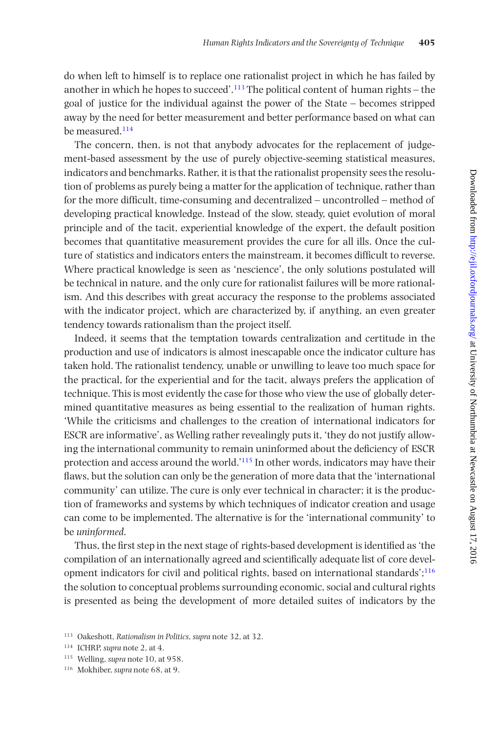do when left to himself is to replace one rationalist project in which he has failed by another in which he hopes to succeed'.<sup>113</sup> The political content of human rights – the goal of justice for the individual against the power of the State – becomes stripped away by the need for better measurement and better performance based on what can be measured.[114](#page-21-1)

The concern, then, is not that anybody advocates for the replacement of judgement-based assessment by the use of purely objective-seeming statistical measures, indicators and benchmarks. Rather, it is that the rationalist propensity sees the resolution of problems as purely being a matter for the application of technique, rather than for the more difficult, time-consuming and decentralized – uncontrolled – method of developing practical knowledge. Instead of the slow, steady, quiet evolution of moral principle and of the tacit, experiential knowledge of the expert, the default position becomes that quantitative measurement provides the cure for all ills. Once the culture of statistics and indicators enters the mainstream, it becomes difficult to reverse. Where practical knowledge is seen as 'nescience', the only solutions postulated will be technical in nature, and the only cure for rationalist failures will be more rationalism. And this describes with great accuracy the response to the problems associated with the indicator project, which are characterized by, if anything, an even greater tendency towards rationalism than the project itself.

Indeed, it seems that the temptation towards centralization and certitude in the production and use of indicators is almost inescapable once the indicator culture has taken hold. The rationalist tendency, unable or unwilling to leave too much space for the practical, for the experiential and for the tacit, always prefers the application of technique. This is most evidently the case for those who view the use of globally determined quantitative measures as being essential to the realization of human rights. 'While the criticisms and challenges to the creation of international indicators for ESCR are informative', as Welling rather revealingly puts it, 'they do not justify allowing the international community to remain uninformed about the deficiency of ESCR protection and access around the world.'[115](#page-21-2) In other words, indicators may have their flaws, but the solution can only be the generation of more data that the 'international community' can utilize. The cure is only ever technical in character; it is the production of frameworks and systems by which techniques of indicator creation and usage can come to be implemented. The alternative is for the 'international community' to be *uninformed*.

Thus, the first step in the next stage of rights-based development is identified as 'the compilation of an internationally agreed and scientifically adequate list of core development indicators for civil and political rights, based on international standards'[;116](#page-21-3) the solution to conceptual problems surrounding economic, social and cultural rights is presented as being the development of more detailed suites of indicators by the

- <span id="page-21-2"></span><sup>115</sup> Welling, *supra* note 10, at 958.
- <span id="page-21-3"></span><sup>116</sup> Mokhiber, *supra* note 68, at 9.

<span id="page-21-0"></span><sup>113</sup> Oakeshott, *Rationalism in Politics*, *supra* note 32, at 32.

<span id="page-21-1"></span><sup>114</sup> ICHRP, *supra* note 2, at 4.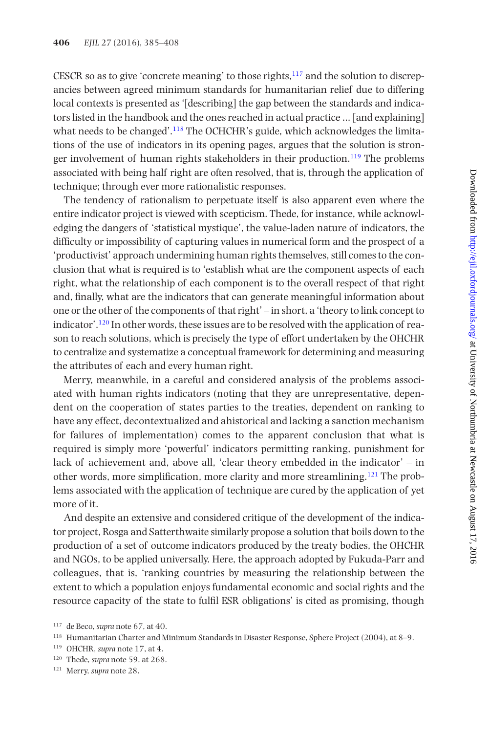CESCR so as to give 'concrete meaning' to those rights, $117$  and the solution to discrepancies between agreed minimum standards for humanitarian relief due to differing local contexts is presented as '[describing] the gap between the standards and indicators listed in the handbook and the ones reached in actual practice … [and explaining] what needs to be changed'.<sup>118</sup> The OCHCHR's guide, which acknowledges the limitations of the use of indicators in its opening pages, argues that the solution is stronger involvement of human rights stakeholders in their production[.119](#page-22-2) The problems associated with being half right are often resolved, that is, through the application of technique; through ever more rationalistic responses.

The tendency of rationalism to perpetuate itself is also apparent even where the entire indicator project is viewed with scepticism. Thede, for instance, while acknowledging the dangers of 'statistical mystique', the value-laden nature of indicators, the difficulty or impossibility of capturing values in numerical form and the prospect of a 'productivist' approach undermining human rights themselves, still comes to the conclusion that what is required is to 'establish what are the component aspects of each right, what the relationship of each component is to the overall respect of that right and, finally, what are the indicators that can generate meaningful information about one or the other of the components of that right' – in short, a 'theory to link concept to indicator'.<sup>120</sup> In other words, these issues are to be resolved with the application of reason to reach solutions, which is precisely the type of effort undertaken by the OHCHR to centralize and systematize a conceptual framework for determining and measuring the attributes of each and every human right.

Merry, meanwhile, in a careful and considered analysis of the problems associated with human rights indicators (noting that they are unrepresentative, dependent on the cooperation of states parties to the treaties, dependent on ranking to have any effect, decontextualized and ahistorical and lacking a sanction mechanism for failures of implementation) comes to the apparent conclusion that what is required is simply more 'powerful' indicators permitting ranking, punishment for lack of achievement and, above all, 'clear theory embedded in the indicator' – in other words, more simplification, more clarity and more streamlining.<sup>121</sup> The problems associated with the application of technique are cured by the application of yet more of it.

And despite an extensive and considered critique of the development of the indicator project, Rosga and Satterthwaite similarly propose a solution that boils down to the production of a set of outcome indicators produced by the treaty bodies, the OHCHR and NGOs, to be applied universally. Here, the approach adopted by Fukuda-Parr and colleagues, that is, 'ranking countries by measuring the relationship between the extent to which a population enjoys fundamental economic and social rights and the resource capacity of the state to fulfil ESR obligations' is cited as promising, though

<span id="page-22-3"></span><sup>120</sup> Thede, *supra* note 59, at 268.

<span id="page-22-0"></span><sup>117</sup> de Beco, *supra* note 67, at 40.

<span id="page-22-1"></span><sup>118</sup> Humanitarian Charter and Minimum Standards in Disaster Response, Sphere Project (2004), at 8–9.

<span id="page-22-2"></span><sup>119</sup> OHCHR, *supra* note 17, at 4.

<span id="page-22-4"></span><sup>121</sup> Merry, *supra* note 28.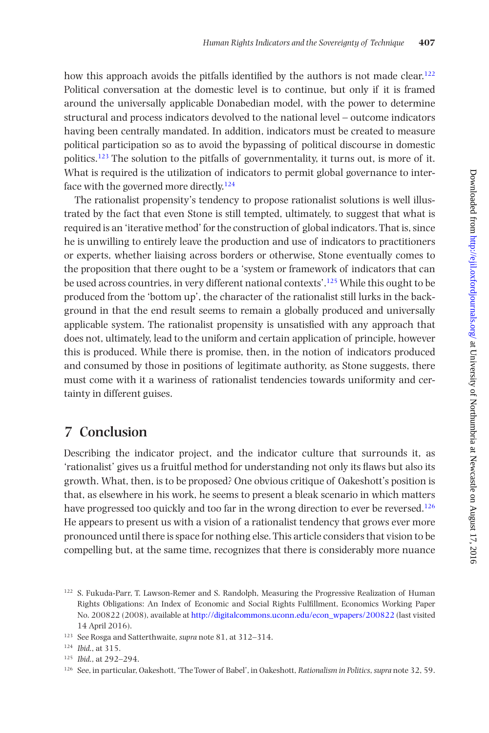how this approach avoids the pitfalls identified by the authors is not made clear.<sup>122</sup> Political conversation at the domestic level is to continue, but only if it is framed around the universally applicable Donabedian model, with the power to determine structural and process indicators devolved to the national level – outcome indicators having been centrally mandated. In addition, indicators must be created to measure political participation so as to avoid the bypassing of political discourse in domestic politics.[123](#page-23-1) The solution to the pitfalls of governmentality, it turns out, is more of it. What is required is the utilization of indicators to permit global governance to interface with the governed more directly.[124](#page-23-2)

The rationalist propensity's tendency to propose rationalist solutions is well illustrated by the fact that even Stone is still tempted, ultimately, to suggest that what is required is an 'iterative method' for the construction of global indicators. That is, since he is unwilling to entirely leave the production and use of indicators to practitioners or experts, whether liaising across borders or otherwise, Stone eventually comes to the proposition that there ought to be a 'system or framework of indicators that can be used across countries, in very different national contexts'.[125](#page-23-3) While this ought to be produced from the 'bottom up', the character of the rationalist still lurks in the background in that the end result seems to remain a globally produced and universally applicable system. The rationalist propensity is unsatisfied with any approach that does not, ultimately, lead to the uniform and certain application of principle, however this is produced. While there is promise, then, in the notion of indicators produced and consumed by those in positions of legitimate authority, as Stone suggests, there must come with it a wariness of rationalist tendencies towards uniformity and certainty in different guises.

## **7 Conclusion**

Describing the indicator project, and the indicator culture that surrounds it, as 'rationalist' gives us a fruitful method for understanding not only its flaws but also its growth. What, then, is to be proposed? One obvious critique of Oakeshott's position is that, as elsewhere in his work, he seems to present a bleak scenario in which matters have progressed too quickly and too far in the wrong direction to ever be reversed.<sup>126</sup> He appears to present us with a vision of a rationalist tendency that grows ever more pronounced until there is space for nothing else. This article considers that vision to be compelling but, at the same time, recognizes that there is considerably more nuance

<span id="page-23-0"></span><sup>&</sup>lt;sup>122</sup> S. Fukuda-Parr, T. Lawson-Remer and S. Randolph, Measuring the Progressive Realization of Human Rights Obligations: An Index of Economic and Social Rights Fulfillment, Economics Working Paper No. 200822 (2008), available at [http://digitalcommons.uconn.edu/econ\\_wpapers/200822](http://digitalcommons.uconn.edu/econ_wpapers/200822) (last visited 14 April 2016).

<span id="page-23-1"></span><sup>123</sup> See Rosga and Satterthwaite, *supra* note 81, at 312–314.

<span id="page-23-2"></span><sup>124</sup> *Ibid*., at 315.

<span id="page-23-3"></span><sup>125</sup> *Ibid*., at 292–294.

<span id="page-23-4"></span><sup>126</sup> See, in particular, Oakeshott, 'The Tower of Babel', in Oakeshott, *Rationalism in Politics*, *supra* note 32, 59.